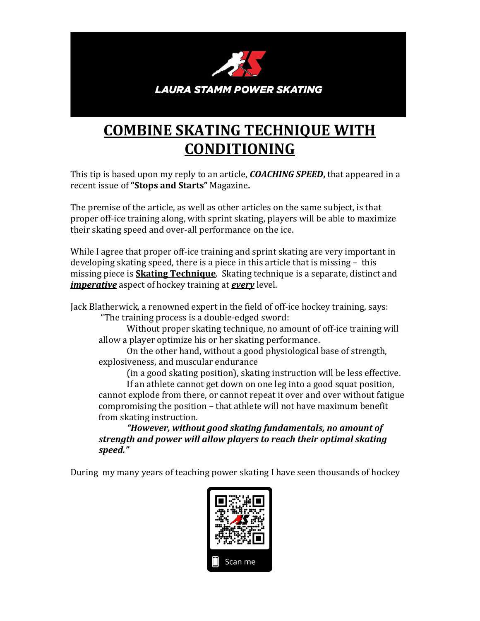

## **COMBINE SKATING TECHNIQUE WITH CONDITIONING**

This tip is based upon my reply to an article, *COACHING SPEED***,** that appeared in a recent issue of **"Stops and Starts"** Magazine**.** 

The premise of the article, as well as other articles on the same subject, is that proper off-ice training along, with sprint skating, players will be able to maximize their skating speed and over-all performance on the ice.

While I agree that proper off-ice training and sprint skating are very important in developing skating speed, there is a piece in this article that is missing – this missing piece is **Skating Technique**. Skating technique is a separate, distinct and *imperative* aspect of hockey training at *every* level.

Jack Blatherwick, a renowned expert in the field of off-ice hockey training, says:

"The training process is a double-edged sword:

Without proper skating technique, no amount of off-ice training will allow a player optimize his or her skating performance.

On the other hand, without a good physiological base of strength, explosiveness, and muscular endurance

(in a good skating position), skating instruction will be less effective. If an athlete cannot get down on one leg into a good squat position, cannot explode from there, or cannot repeat it over and over without fatigue compromising the position – that athlete will not have maximum benefit from skating instruction.

*"However, without good skating fundamentals, no amount of strength and power will allow players to reach their optimal skating speed."*

During my many years of teaching power skating I have seen thousands of hockey